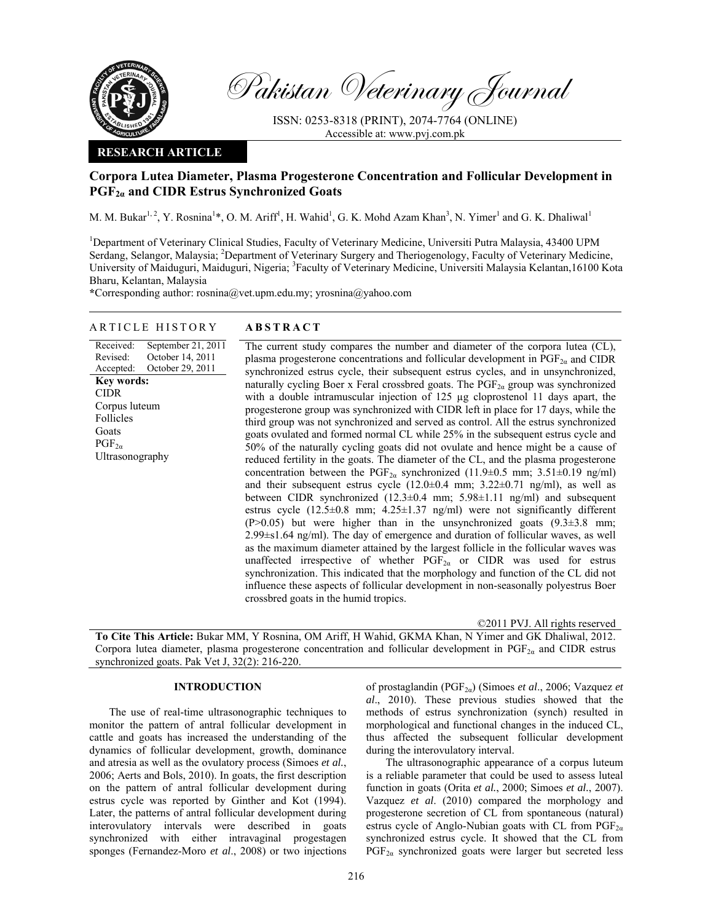

Pakistan Veterinary Journal

ISSN: 0253-8318 (PRINT), 2074-7764 (ONLINE) Accessible at: www.pvj.com.pk

### **RESEARCH ARTICLE**

# **Corpora Lutea Diameter, Plasma Progesterone Concentration and Follicular Development in PGF2α and CIDR Estrus Synchronized Goats**

M. M. Bukar<sup>1, 2</sup>, Y. Rosnina<sup>1\*</sup>, O. M. Ariff<sup>1</sup>, H. Wahid<sup>1</sup>, G. K. Mohd Azam Khan<sup>3</sup>, N. Yimer<sup>1</sup> and G. K. Dhaliwal<sup>1</sup>

<sup>1</sup>Department of Veterinary Clinical Studies, Faculty of Veterinary Medicine, Universiti Putra Malaysia, 43400 UPM Serdang, Selangor, Malaysia; <sup>2</sup>Department of Veterinary Surgery and Theriogenology, Faculty of Veterinary Medicine, University of Maiduguri, Maiduguri, Nigeria; <sup>3</sup>Faculty of Veterinary Medicine, Universiti Malaysia Kelantan,16100 Kota Bharu, Kelantan, Malaysia

**\***Corresponding author: rosnina@vet.upm.edu.my; yrosnina@yahoo.com

## ARTICLE HISTORY **ABSTRACT**

Received: Revised: Accepted: September 21, 2011 October 14, 2011 October 29, 2011 **Key words:**  CIDR Corpus luteum Follicles **Goats**  $PGF_{2\alpha}$ Ultrasonography

The current study compares the number and diameter of the corpora lutea (CL), plasma progesterone concentrations and follicular development in  $PGF_{2\alpha}$  and CIDR synchronized estrus cycle, their subsequent estrus cycles, and in unsynchronized, naturally cycling Boer x Feral crossbred goats. The  $PGF_{2\alpha}$  group was synchronized with a double intramuscular injection of 125 µg cloprostenol 11 days apart, the progesterone group was synchronized with CIDR left in place for 17 days, while the third group was not synchronized and served as control. All the estrus synchronized goats ovulated and formed normal CL while 25% in the subsequent estrus cycle and 50% of the naturally cycling goats did not ovulate and hence might be a cause of reduced fertility in the goats. The diameter of the CL, and the plasma progesterone concentration between the PGF<sub>2a</sub> synchronized (11.9±0.5 mm; 3.51±0.19 ng/ml) and their subsequent estrus cycle  $(12.0\pm0.4 \text{ mm}; 3.22\pm0.71 \text{ ng/ml})$ , as well as between CIDR synchronized (12.3±0.4 mm; 5.98±1.11 ng/ml) and subsequent estrus cycle (12.5±0.8 mm; 4.25±1.37 ng/ml) were not significantly different  $(P>0.05)$  but were higher than in the unsynchronized goats  $(9.3\pm3.8 \text{ mm})$ ; 2.99±s1.64 ng/ml). The day of emergence and duration of follicular waves, as well as the maximum diameter attained by the largest follicle in the follicular waves was unaffected irrespective of whether  $PGF_{2\alpha}$  or CIDR was used for estrus synchronization. This indicated that the morphology and function of the CL did not influence these aspects of follicular development in non-seasonally polyestrus Boer crossbred goats in the humid tropics.

©2011 PVJ. All rights reserved

**To Cite This Article:** Bukar MM, Y Rosnina, OM Ariff, H Wahid, GKMA Khan, N Yimer and GK Dhaliwal, 2012. Corpora lutea diameter, plasma progesterone concentration and follicular development in  $PGF_{2a}$  and CIDR estrus synchronized goats. Pak Vet J, 32(2): 216-220.

## **INTRODUCTION**

The use of real-time ultrasonographic techniques to monitor the pattern of antral follicular development in cattle and goats has increased the understanding of the dynamics of follicular development, growth, dominance and atresia as well as the ovulatory process (Simoes *et al.*, 2006; Aerts and Bols, 2010). In goats, the first description on the pattern of antral follicular development during estrus cycle was reported by Ginther and Kot (1994). Later, the patterns of antral follicular development during interovulatory intervals were described in goats synchronized with either intravaginal progestagen sponges (Fernandez-Moro *et al*., 2008) or two injections

of prostaglandin (PGF2α) (Simoes *et al*., 2006; Vazquez *et al*., 2010). These previous studies showed that the methods of estrus synchronization (synch) resulted in morphological and functional changes in the induced CL, thus affected the subsequent follicular development during the interovulatory interval.

The ultrasonographic appearance of a corpus luteum is a reliable parameter that could be used to assess luteal function in goats (Orita *et al.*, 2000; Simoes *et al.*, 2007). Vazquez *et al*. (2010) compared the morphology and progesterone secretion of CL from spontaneous (natural) estrus cycle of Anglo-Nubian goats with CL from  $PGF_{2\alpha}$ synchronized estrus cycle. It showed that the CL from  $PGF_{2\alpha}$  synchronized goats were larger but secreted less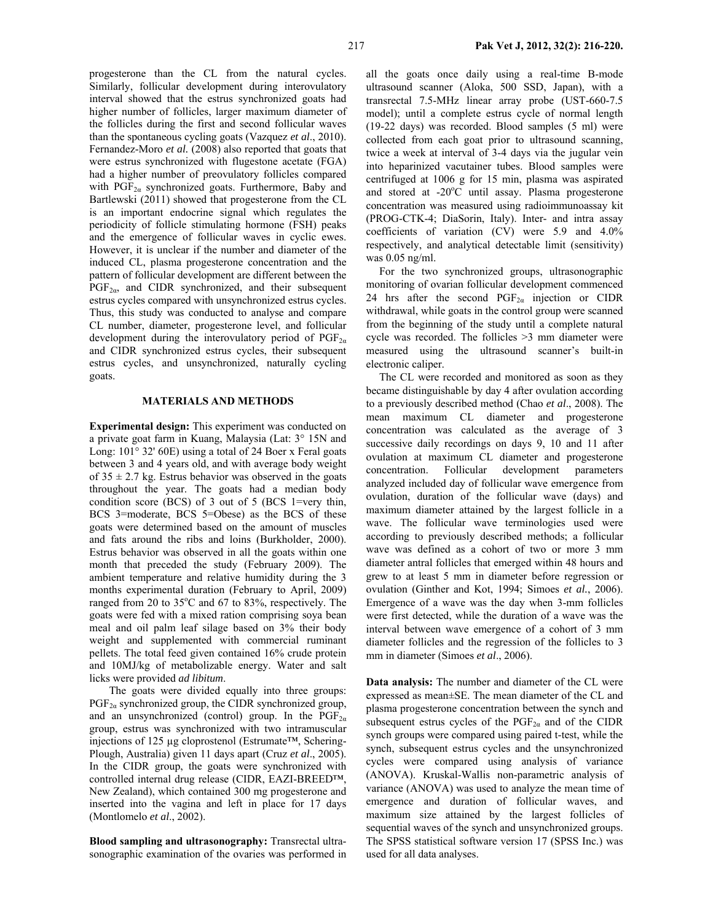progesterone than the CL from the natural cycles. Similarly, follicular development during interovulatory interval showed that the estrus synchronized goats had higher number of follicles, larger maximum diameter of the follicles during the first and second follicular waves than the spontaneous cycling goats (Vazquez *et al*., 2010). Fernandez-Moro *et al.* (2008) also reported that goats that were estrus synchronized with flugestone acetate (FGA) had a higher number of preovulatory follicles compared with  $PGF_{2\alpha}$  synchronized goats. Furthermore, Baby and Bartlewski (2011) showed that progesterone from the CL is an important endocrine signal which regulates the periodicity of follicle stimulating hormone (FSH) peaks and the emergence of follicular waves in cyclic ewes. However, it is unclear if the number and diameter of the induced CL, plasma progesterone concentration and the pattern of follicular development are different between the  $PGF_{2\alpha}$ , and CIDR synchronized, and their subsequent estrus cycles compared with unsynchronized estrus cycles. Thus, this study was conducted to analyse and compare CL number, diameter, progesterone level, and follicular development during the interovulatory period of  $PGF_{2\alpha}$ and CIDR synchronized estrus cycles, their subsequent estrus cycles, and unsynchronized, naturally cycling goats.

### **MATERIALS AND METHODS**

**Experimental design:** This experiment was conducted on a private goat farm in Kuang, Malaysia (Lat: 3° 15N and Long: 101° 32' 60E) using a total of 24 Boer x Feral goats between 3 and 4 years old, and with average body weight of  $35 \pm 2.7$  kg. Estrus behavior was observed in the goats throughout the year. The goats had a median body condition score (BCS) of 3 out of 5 (BCS 1=very thin, BCS 3=moderate, BCS 5=Obese) as the BCS of these goats were determined based on the amount of muscles and fats around the ribs and loins (Burkholder, 2000). Estrus behavior was observed in all the goats within one month that preceded the study (February 2009). The ambient temperature and relative humidity during the 3 months experimental duration (February to April, 2009) ranged from 20 to 35°C and 67 to 83%, respectively. The goats were fed with a mixed ration comprising soya bean meal and oil palm leaf silage based on 3% their body weight and supplemented with commercial ruminant pellets. The total feed given contained 16% crude protein and 10MJ/kg of metabolizable energy. Water and salt licks were provided *ad libitum*.

The goats were divided equally into three groups:  $PGF_{2a}$  synchronized group, the CIDR synchronized group, and an unsynchronized (control) group. In the  $PGF_{2\alpha}$ group, estrus was synchronized with two intramuscular injections of 125 µg cloprostenol (Estrumate™, Schering-Plough, Australia) given 11 days apart (Cruz *et al*., 2005). In the CIDR group, the goats were synchronized with controlled internal drug release (CIDR, EAZI-BREED™, New Zealand), which contained 300 mg progesterone and inserted into the vagina and left in place for 17 days (Montlomelo *et al*., 2002).

**Blood sampling and ultrasonography:** Transrectal ultrasonographic examination of the ovaries was performed in all the goats once daily using a real-time B-mode ultrasound scanner (Aloka, 500 SSD, Japan), with a transrectal 7.5-MHz linear array probe (UST-660-7.5 model); until a complete estrus cycle of normal length (19-22 days) was recorded. Blood samples (5 ml) were collected from each goat prior to ultrasound scanning, twice a week at interval of 3-4 days via the jugular vein into heparinized vacutainer tubes. Blood samples were centrifuged at 1006 g for 15 min, plasma was aspirated and stored at -20°C until assay. Plasma progesterone concentration was measured using radioimmunoassay kit (PROG-CTK-4; DiaSorin, Italy). Inter- and intra assay coefficients of variation (CV) were 5.9 and 4.0% respectively, and analytical detectable limit (sensitivity) was 0.05 ng/ml.

For the two synchronized groups, ultrasonographic monitoring of ovarian follicular development commenced 24 hrs after the second  $PGF_{2\alpha}$  injection or CIDR withdrawal, while goats in the control group were scanned from the beginning of the study until a complete natural cycle was recorded. The follicles >3 mm diameter were measured using the ultrasound scanner's built-in electronic caliper.

The CL were recorded and monitored as soon as they became distinguishable by day 4 after ovulation according to a previously described method (Chao *et al*., 2008). The mean maximum CL diameter and progesterone concentration was calculated as the average of 3 successive daily recordings on days 9, 10 and 11 after ovulation at maximum CL diameter and progesterone concentration. Follicular development parameters analyzed included day of follicular wave emergence from ovulation, duration of the follicular wave (days) and maximum diameter attained by the largest follicle in a wave. The follicular wave terminologies used were according to previously described methods; a follicular wave was defined as a cohort of two or more 3 mm diameter antral follicles that emerged within 48 hours and grew to at least 5 mm in diameter before regression or ovulation (Ginther and Kot, 1994; Simoes *et al.*, 2006). Emergence of a wave was the day when 3-mm follicles were first detected, while the duration of a wave was the interval between wave emergence of a cohort of 3 mm diameter follicles and the regression of the follicles to 3 mm in diameter (Simoes *et al*., 2006).

**Data analysis:** The number and diameter of the CL were expressed as mean±SE. The mean diameter of the CL and plasma progesterone concentration between the synch and subsequent estrus cycles of the  $PGF_{2\alpha}$  and of the CIDR synch groups were compared using paired t-test, while the synch, subsequent estrus cycles and the unsynchronized cycles were compared using analysis of variance (ANOVA). Kruskal-Wallis non-parametric analysis of variance (ANOVA) was used to analyze the mean time of emergence and duration of follicular waves, and maximum size attained by the largest follicles of sequential waves of the synch and unsynchronized groups. The SPSS statistical software version 17 (SPSS Inc.) was used for all data analyses.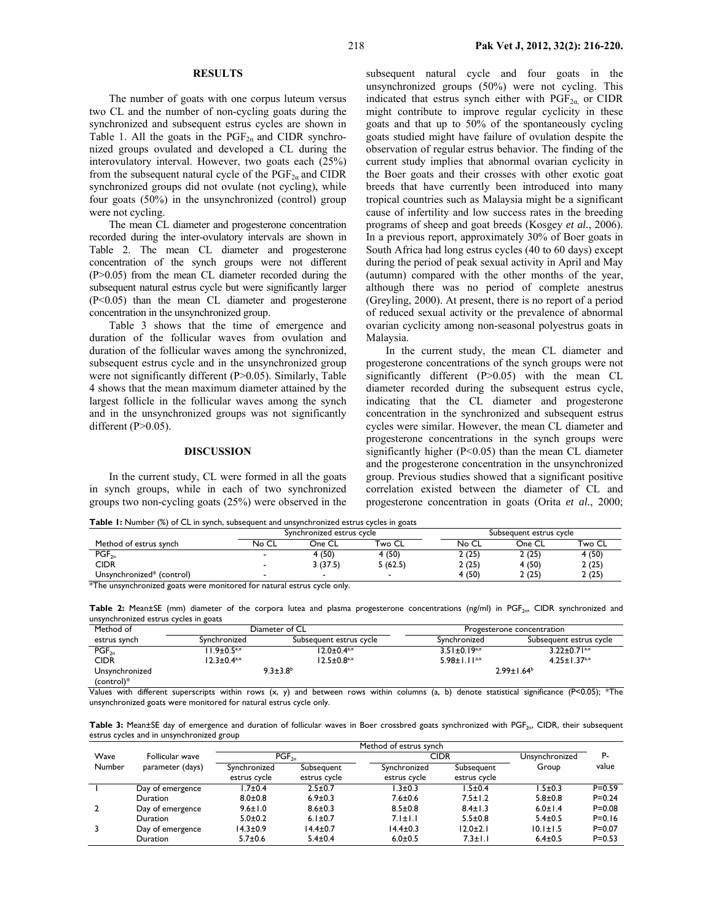#### **RESULTS**

The number of goats with one corpus luteum versus two CL and the number of non-cycling goats during the synchronized and subsequent estrus cycles are shown in Table 1. All the goats in the  $PGF_{2a}$  and CIDR synchronized groups ovulated and developed a CL during the interovulatory interval. However, two goats each (25%) from the subsequent natural cycle of the  $PGF_{2\alpha}$  and CIDR synchronized groups did not ovulate (not cycling), while four goats (50%) in the unsynchronized (control) group were not cycling.

The mean CL diameter and progesterone concentration recorded during the inter-ovulatory intervals are shown in Table 2. The mean CL diameter and progesterone concentration of the synch groups were not different (P>0.05) from the mean CL diameter recorded during the subsequent natural estrus cycle but were significantly larger (P<0.05) than the mean CL diameter and progesterone concentration in the unsynchronized group.

Table 3 shows that the time of emergence and duration of the follicular waves from ovulation and duration of the follicular waves among the synchronized, subsequent estrus cycle and in the unsynchronized group were not significantly different (P>0.05). Similarly, Table 4 shows that the mean maximum diameter attained by the largest follicle in the follicular waves among the synch and in the unsynchronized groups was not significantly different  $(P>0.05)$ .

#### **DISCUSSION**

In the current study, CL were formed in all the goats in synch groups, while in each of two synchronized groups two non-cycling goats (25%) were observed in the subsequent natural cycle and four goats in the unsynchronized groups (50%) were not cycling. This indicated that estrus synch either with  $PGF_{2\alpha}$  or CIDR might contribute to improve regular cyclicity in these goats and that up to 50% of the spontaneously cycling goats studied might have failure of ovulation despite the observation of regular estrus behavior. The finding of the current study implies that abnormal ovarian cyclicity in the Boer goats and their crosses with other exotic goat breeds that have currently been introduced into many tropical countries such as Malaysia might be a significant cause of infertility and low success rates in the breeding programs of sheep and goat breeds (Kosgey *et al.*, 2006). In a previous report, approximately 30% of Boer goats in South Africa had long estrus cycles (40 to 60 days) except during the period of peak sexual activity in April and May (autumn) compared with the other months of the year, although there was no period of complete anestrus (Greyling, 2000). At present, there is no report of a period of reduced sexual activity or the prevalence of abnormal ovarian cyclicity among non-seasonal polyestrus goats in Malaysia.

In the current study, the mean CL diameter and progesterone concentrations of the synch groups were not significantly different  $(P>0.05)$  with the mean CL diameter recorded during the subsequent estrus cycle, indicating that the CL diameter and progesterone concentration in the synchronized and subsequent estrus cycles were similar. However, the mean CL diameter and progesterone concentrations in the synch groups were significantly higher  $(P<0.05)$  than the mean CL diameter and the progesterone concentration in the unsynchronized group. Previous studies showed that a significant positive correlation existed between the diameter of CL and progesterone concentration in goats (Orita *et al.*, 2000;

**Table 1:** Number (%) of CL in synch, subsequent and unsynchronized estrus cycles in goats

|                           |       | Synchronized estrus cycle |                          |       | Subsequent estrus cycle |        |  |
|---------------------------|-------|---------------------------|--------------------------|-------|-------------------------|--------|--|
| Method of estrus synch    | No CL | One CL                    | Two CL                   | No CL | One CL                  | Two CL |  |
| $PGF_{2a}$                |       | 4 (50)                    | 4 (50)                   | 2(25) | 2(25)                   | 4 (50) |  |
| <b>CIDR</b>               |       | 3(37.5)                   | 5 (62.5)                 | 2(25) | 4 (50)                  | 2(25)  |  |
| Unsynchronized* (control) |       |                           | $\overline{\phantom{a}}$ | 4(50) | (25)                    | 2(25)  |  |

\*The unsynchronized goats were monitored for natural estrus cycle only.

Table 2: Mean±SE (mm) diameter of the corpora lutea and plasma progesterone concentrations (ng/ml) in PGF<sub>20</sub>, CIDR synchronized and unsynchronized estrus cycles in goats

| Method of      |                             | Diameter of CL                | Progesterone concentration |                                |  |
|----------------|-----------------------------|-------------------------------|----------------------------|--------------------------------|--|
| estrus synch   | Synchronized                | Subsequent estrus cycle       | Synchronized               | Subsequent estrus cycle        |  |
| $PGF_{2a}$     | $1.9 \pm 0.5^{a,x}$         | $12.0 \pm 0.4$ <sup>a,x</sup> | $3.51 \pm 0.19^{a,x}$      | $3.22 \pm 0.71$ <sup>a,x</sup> |  |
| <b>CIDR</b>    | $12.3 \pm 0.4^{\text{a,x}}$ | $12.5 \pm 0.8$ <sup>a,x</sup> | 5.98±1.1 $1^{a,x}$         | $4.25 \pm 1.37^{a,x}$          |  |
| Unsynchronized | $9.3 \pm 3.8$ <sup>b</sup>  |                               | $2.99 \pm 1.64^b$          |                                |  |
| $(control)*$   |                             |                               |                            |                                |  |

Values with different superscripts within rows  $(x, y)$  and between rows within columns (a, b) denote statistical significance (P<0.05); \*The unsynchronized goats were monitored for natural estrus cycle only.

Table 3: Mean±SE day of emergence and duration of follicular waves in Boer crossbred goats synchronized with PGF<sub>2α</sub>, CIDR, their subsequent estrus cycles and in unsynchronized group

|        |                  | Method of estrus synch |                |                |                |                |            |
|--------|------------------|------------------------|----------------|----------------|----------------|----------------|------------|
| Wave   | Follicular wave  | $PGF_{2a}$             |                | <b>CIDR</b>    |                | Unsynchronized | P-         |
| Number | parameter (days) | Synchronized           | Subseauent     | Synchronized   | Subsequent     | Group          | value      |
|        |                  | estrus cycle           | estrus cycle   | estrus cycle   | estrus cycle   |                |            |
|        | Day of emergence | $7 + 0.4$              | $2.5 \pm 0.7$  | $1.3{\pm}0.3$  | l.5±0.4        | $1.5{\pm}0.3$  | $P = 0.59$ |
|        | <b>Duration</b>  | $8.0 + 0.8$            | $6.9 \pm 0.3$  | $7.6 \pm 0.6$  | $7.5 \pm 1.2$  | $5.8 + 0.8$    | $P = 0.24$ |
|        | Day of emergence | $9.6 \pm 1.0$          | $8.6 \pm 0.3$  | $8.5 \pm 0.8$  | $8.4 \pm 1.3$  | $6.0 \pm 1.4$  | $P = 0.08$ |
|        | Duration         | $5.0 + 0.2$            | $6.1 \pm 0.7$  | $7.1 \pm 1.1$  | $5.5 \pm 0.8$  | $5.4 \pm 0.5$  | $P = 0.16$ |
|        | Day of emergence | $14.3 \pm 0.9$         | $14.4 \pm 0.7$ | $14.4 \pm 0.3$ | $12.0 \pm 2.1$ | $10.1 \pm 1.5$ | $P = 0.07$ |
|        | Duration         | $5.7 \pm 0.6$          | $5.4 \pm 0.4$  | $6.0 + 0.5$    | $7.3 \pm 1.1$  | $6.4 \pm 0.5$  | $P = 0.53$ |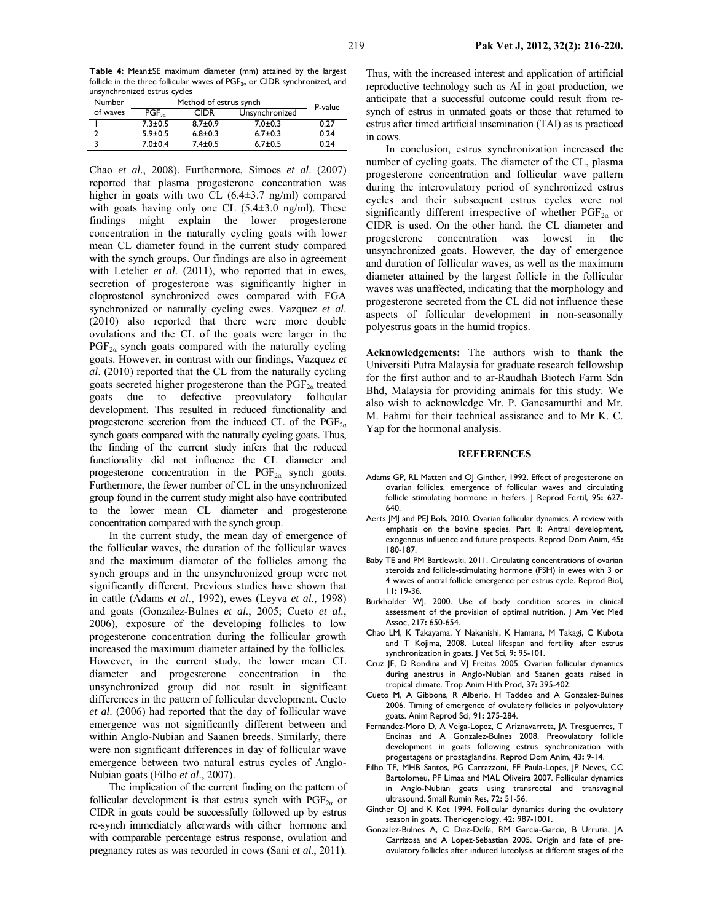**Table 4:** Mean±SE maximum diameter (mm) attained by the largest follicle in the three follicular waves of  $PGF_{2a}$  or CIDR synchronized, and unsynchronized estrus cycles

| Number   | Method of estrus synch | P-value       |                |      |
|----------|------------------------|---------------|----------------|------|
| of waves | $PGF_{2a}$             | <b>CIDR</b>   | Unsynchronized |      |
|          | $7.3 \pm 0.5$          | $8.7 \pm 0.9$ | $7.0 \pm 0.3$  | 0.27 |
|          | $5.9 \pm 0.5$          | $6.8 + 0.3$   | $6.7 \pm 0.3$  | 0.24 |
|          | $7.0 + 0.4$            | $7.4 \pm 0.5$ | $6.7 \pm 0.5$  | 0.24 |

Chao *et al.*, 2008). Furthermore, Simoes *et al*. (2007) reported that plasma progesterone concentration was higher in goats with two CL (6.4 $\pm$ 3.7 ng/ml) compared with goats having only one CL  $(5.4\pm3.0 \text{ ng/ml})$ . These findings might explain the lower progesterone concentration in the naturally cycling goats with lower mean CL diameter found in the current study compared with the synch groups. Our findings are also in agreement with Letelier *et al.* (2011), who reported that in ewes, secretion of progesterone was significantly higher in cloprostenol synchronized ewes compared with FGA synchronized or naturally cycling ewes. Vazquez *et al*. (2010) also reported that there were more double ovulations and the CL of the goats were larger in the  $PGF<sub>2\alpha</sub>$  synch goats compared with the naturally cycling goats. However, in contrast with our findings, Vazquez *et al*. (2010) reported that the CL from the naturally cycling goats secreted higher progesterone than the  $PGF_{2a}$  treated goats due to defective preovulatory follicular development. This resulted in reduced functionality and progesterone secretion from the induced CL of the  $PGF_{2\alpha}$ synch goats compared with the naturally cycling goats. Thus, the finding of the current study infers that the reduced functionality did not influence the CL diameter and progesterone concentration in the  $PGF_{2\alpha}$  synch goats. Furthermore, the fewer number of CL in the unsynchronized group found in the current study might also have contributed to the lower mean CL diameter and progesterone concentration compared with the synch group.

In the current study, the mean day of emergence of the follicular waves, the duration of the follicular waves and the maximum diameter of the follicles among the synch groups and in the unsynchronized group were not significantly different. Previous studies have shown that in cattle (Adams *et al.*, 1992), ewes (Leyva *et al.*, 1998) and goats (Gonzalez-Bulnes *et al.*, 2005; Cueto *et al.*, 2006), exposure of the developing follicles to low progesterone concentration during the follicular growth increased the maximum diameter attained by the follicles. However, in the current study, the lower mean CL diameter and progesterone concentration in the unsynchronized group did not result in significant differences in the pattern of follicular development. Cueto *et al*. (2006) had reported that the day of follicular wave emergence was not significantly different between and within Anglo-Nubian and Saanen breeds. Similarly, there were non significant differences in day of follicular wave emergence between two natural estrus cycles of Anglo-Nubian goats (Filho *et al*., 2007).

The implication of the current finding on the pattern of follicular development is that estrus synch with  $PGF_{2\alpha}$  or CIDR in goats could be successfully followed up by estrus re-synch immediately afterwards with either hormone and with comparable percentage estrus response, ovulation and pregnancy rates as was recorded in cows (Sani *et al*., 2011).

Thus, with the increased interest and application of artificial reproductive technology such as AI in goat production, we anticipate that a successful outcome could result from resynch of estrus in unmated goats or those that returned to estrus after timed artificial insemination (TAI) as is practiced in cows.

In conclusion, estrus synchronization increased the number of cycling goats. The diameter of the CL, plasma progesterone concentration and follicular wave pattern during the interovulatory period of synchronized estrus cycles and their subsequent estrus cycles were not significantly different irrespective of whether  $PGF_{2\alpha}$  or CIDR is used. On the other hand, the CL diameter and progesterone concentration was lowest in the unsynchronized goats. However, the day of emergence and duration of follicular waves, as well as the maximum diameter attained by the largest follicle in the follicular waves was unaffected, indicating that the morphology and progesterone secreted from the CL did not influence these aspects of follicular development in non-seasonally polyestrus goats in the humid tropics.

**Acknowledgements:** The authors wish to thank the Universiti Putra Malaysia for graduate research fellowship for the first author and to ar*-*Raudhah Biotech Farm Sdn Bhd, Malaysia for providing animals for this study. We also wish to acknowledge Mr. P. Ganesamurthi and Mr. M. Fahmi for their technical assistance and to Mr K. C. Yap for the hormonal analysis.

#### **REFERENCES**

- Adams GP, RL Matteri and OJ Ginther, 1992. Effect of progesterone on ovarian follicles, emergence of follicular waves and circulating follicle stimulating hormone in heifers. J Reprod Fertil, 95**:** 627- 640.
- Aerts JMJ and PEJ Bols, 2010. Ovarian follicular dynamics. A review with emphasis on the bovine species. Part II: Antral development, exogenous influence and future prospects. Reprod Dom Anim, 45**:** 180-187.
- Baby TE and PM Bartlewski, 2011. Circulating concentrations of ovarian steroids and follicle-stimulating hormone (FSH) in ewes with 3 or 4 waves of antral follicle emergence per estrus cycle. Reprod Biol, 11**:** 19-36.
- Burkholder WJ, 2000. Use of body condition scores in clinical assessment of the provision of optimal nutrition. | Am Vet Med Assoc, 217**:** 650-654.
- Chao LM, K Takayama, Y Nakanishi, K Hamana, M Takagi, C Kubota and T Kojima, 2008. Luteal lifespan and fertility after estrus synchronization in goats. J Vet Sci, 9**:** 95-101.
- Cruz JF, D Rondina and VJ Freitas 2005. Ovarian follicular dynamics during anestrus in Anglo-Nubian and Saanen goats raised in tropical climate. Trop Anim Hlth Prod, 37**:** 395-402.
- Cueto M, A Gibbons, R Alberio, H Taddeo and A Gonzalez-Bulnes 2006. Timing of emergence of ovulatory follicles in polyovulatory goats. Anim Reprod Sci, 91**:** 275-284.
- Fernandez-Moro D, A Veiga-Lopez, C Ariznavarreta, JA Tresguerres, T Encinas and A Gonzalez-Bulnes 2008. Preovulatory follicle development in goats following estrus synchronization with progestagens or prostaglandins. Reprod Dom Anim, 43**:** 9-14.
- Filho TF, MHB Santos, PG Carrazzoni, FF Paula-Lopes, JP Neves, CC Bartolomeu, PF Limaa and MAL Oliveira 2007. Follicular dynamics in Anglo-Nubian goats using transrectal and transvaginal ultrasound. Small Rumin Res, 72**:** 51-56.
- Ginther OJ and K Kot 1994. Follicular dynamics during the ovulatory season in goats. Theriogenology, 42**:** 987-1001.
- Gonzalez-Bulnes A, C Dıaz-Delfa, RM Garcia-Garcia, B Urrutia, JA Carrizosa and A Lopez-Sebastian 2005. Origin and fate of preovulatory follicles after induced luteolysis at different stages of the